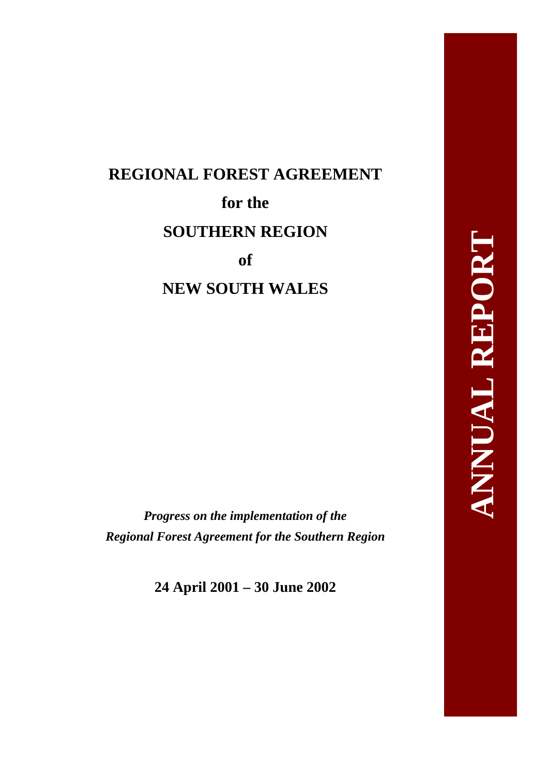# **REGIONAL FOREST AGREEMENT for the SOUTHERN REGION of NEW SOUTH WALES**

*Progress on the implementation of the Regional Forest Agreement for the Southern Region* 

**24 April 2001 – 30 June 2002**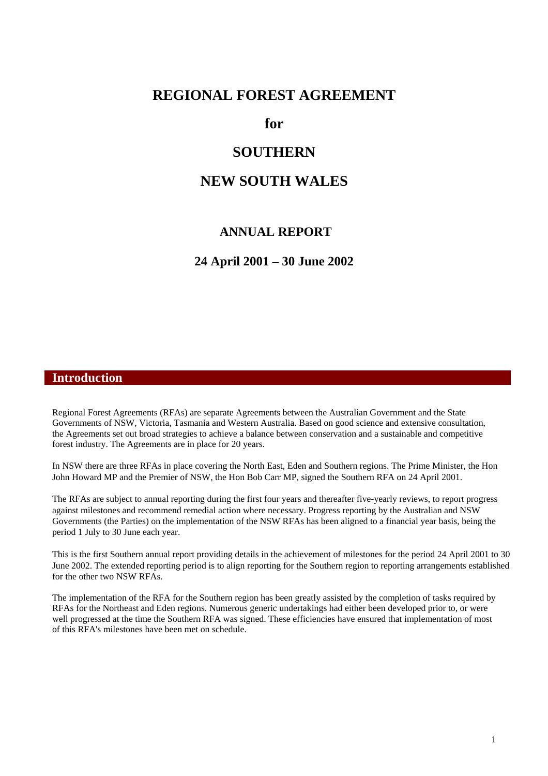#### **REGIONAL FOREST AGREEMENT**

**for** 

## **SOUTHERN**

## **NEW SOUTH WALES**

#### **ANNUAL REPORT**

**24 April 2001 – 30 June 2002** 

#### **Introduction**

Regional Forest Agreements (RFAs) are separate Agreements between the Australian Government and the State Governments of NSW, Victoria, Tasmania and Western Australia. Based on good science and extensive consultation, the Agreements set out broad strategies to achieve a balance between conservation and a sustainable and competitive forest industry. The Agreements are in place for 20 years.

In NSW there are three RFAs in place covering the North East, Eden and Southern regions. The Prime Minister, the Hon John Howard MP and the Premier of NSW, the Hon Bob Carr MP, signed the Southern RFA on 24 April 2001.

The RFAs are subject to annual reporting during the first four years and thereafter five-yearly reviews, to report progress against milestones and recommend remedial action where necessary. Progress reporting by the Australian and NSW Governments (the Parties) on the implementation of the NSW RFAs has been aligned to a financial year basis, being the period 1 July to 30 June each year.

This is the first Southern annual report providing details in the achievement of milestones for the period 24 April 2001 to 30 June 2002. The extended reporting period is to align reporting for the Southern region to reporting arrangements established for the other two NSW RFAs.

The implementation of the RFA for the Southern region has been greatly assisted by the completion of tasks required by RFAs for the Northeast and Eden regions. Numerous generic undertakings had either been developed prior to, or were well progressed at the time the Southern RFA was signed. These efficiencies have ensured that implementation of most of this RFA's milestones have been met on schedule.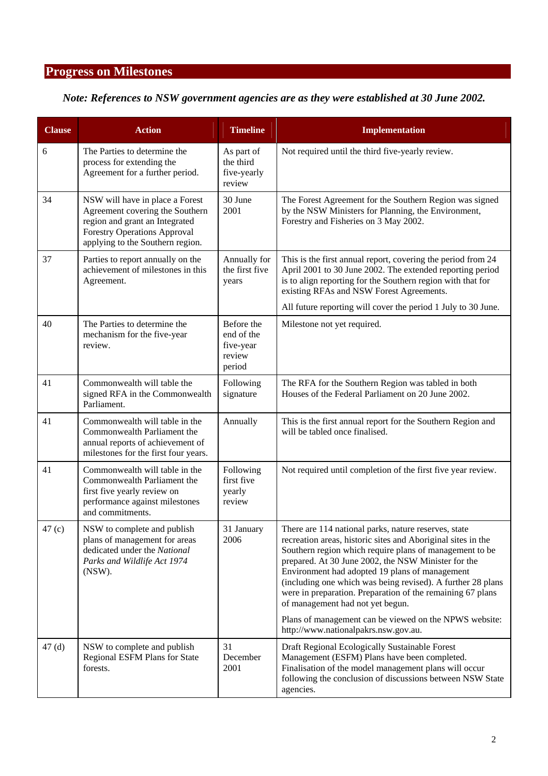# **Progress on Milestones**

## *Note: References to NSW government agencies are as they were established at 30 June 2002.*

| <b>Clause</b> | <b>Action</b>                                                                                                                                                                   | <b>Timeline</b>                                           | <b>Implementation</b>                                                                                                                                                                                                                                                                                                                                                                                                                                     |
|---------------|---------------------------------------------------------------------------------------------------------------------------------------------------------------------------------|-----------------------------------------------------------|-----------------------------------------------------------------------------------------------------------------------------------------------------------------------------------------------------------------------------------------------------------------------------------------------------------------------------------------------------------------------------------------------------------------------------------------------------------|
| 6             | The Parties to determine the<br>process for extending the<br>Agreement for a further period.                                                                                    | As part of<br>the third<br>five-yearly<br>review          | Not required until the third five-yearly review.                                                                                                                                                                                                                                                                                                                                                                                                          |
| 34            | NSW will have in place a Forest<br>Agreement covering the Southern<br>region and grant an Integrated<br><b>Forestry Operations Approval</b><br>applying to the Southern region. | 30 June<br>2001                                           | The Forest Agreement for the Southern Region was signed<br>by the NSW Ministers for Planning, the Environment,<br>Forestry and Fisheries on 3 May 2002.                                                                                                                                                                                                                                                                                                   |
| 37            | Parties to report annually on the<br>achievement of milestones in this<br>Agreement.                                                                                            | Annually for<br>the first five<br>years                   | This is the first annual report, covering the period from 24<br>April 2001 to 30 June 2002. The extended reporting period<br>is to align reporting for the Southern region with that for<br>existing RFAs and NSW Forest Agreements.                                                                                                                                                                                                                      |
|               |                                                                                                                                                                                 |                                                           | All future reporting will cover the period 1 July to 30 June.                                                                                                                                                                                                                                                                                                                                                                                             |
| 40            | The Parties to determine the<br>mechanism for the five-year<br>review.                                                                                                          | Before the<br>end of the<br>five-year<br>review<br>period | Milestone not yet required.                                                                                                                                                                                                                                                                                                                                                                                                                               |
| 41            | Commonwealth will table the<br>signed RFA in the Commonwealth<br>Parliament.                                                                                                    | Following<br>signature                                    | The RFA for the Southern Region was tabled in both<br>Houses of the Federal Parliament on 20 June 2002.                                                                                                                                                                                                                                                                                                                                                   |
| 41            | Commonwealth will table in the<br>Commonwealth Parliament the<br>annual reports of achievement of<br>milestones for the first four years.                                       | Annually                                                  | This is the first annual report for the Southern Region and<br>will be tabled once finalised.                                                                                                                                                                                                                                                                                                                                                             |
| 41            | Commonwealth will table in the<br>Commonwealth Parliament the<br>first five yearly review on<br>performance against milestones<br>and commitments.                              | Following<br>first five<br>yearly<br>review               | Not required until completion of the first five year review.                                                                                                                                                                                                                                                                                                                                                                                              |
| 47 (c)        | NSW to complete and publish<br>plans of management for areas<br>dedicated under the National<br>Parks and Wildlife Act 1974<br>(NSW).                                           | 31 January<br>2006                                        | There are 114 national parks, nature reserves, state<br>recreation areas, historic sites and Aboriginal sites in the<br>Southern region which require plans of management to be<br>prepared. At 30 June 2002, the NSW Minister for the<br>Environment had adopted 19 plans of management<br>(including one which was being revised). A further 28 plans<br>were in preparation. Preparation of the remaining 67 plans<br>of management had not yet begun. |
|               |                                                                                                                                                                                 |                                                           | Plans of management can be viewed on the NPWS website:<br>http://www.nationalpakrs.nsw.gov.au.                                                                                                                                                                                                                                                                                                                                                            |
| 47(d)         | NSW to complete and publish<br>Regional ESFM Plans for State<br>forests.                                                                                                        | 31<br>December<br>2001                                    | Draft Regional Ecologically Sustainable Forest<br>Management (ESFM) Plans have been completed.<br>Finalisation of the model management plans will occur<br>following the conclusion of discussions between NSW State<br>agencies.                                                                                                                                                                                                                         |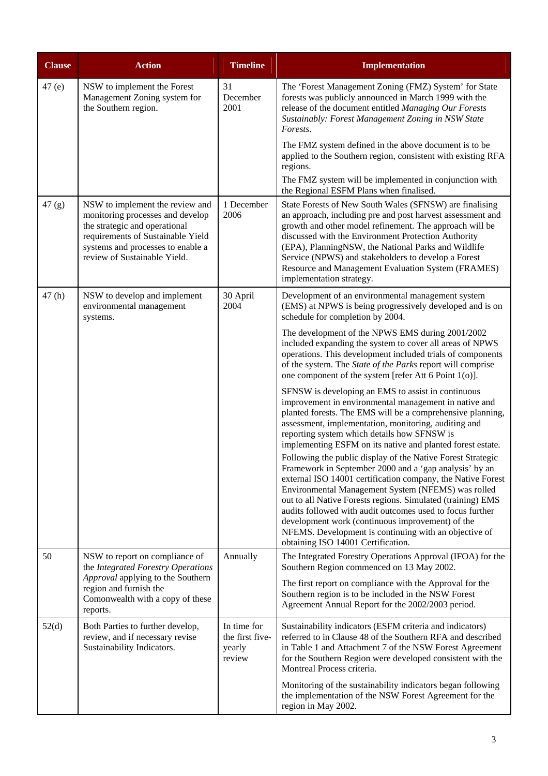| <b>Clause</b> | <b>Action</b>                                                                                                                                                                                                  | <b>Timeline</b>                                    | <b>Implementation</b>                                                                                                                                                                                                                                                                                                                                                                                                                                                                                                                  |
|---------------|----------------------------------------------------------------------------------------------------------------------------------------------------------------------------------------------------------------|----------------------------------------------------|----------------------------------------------------------------------------------------------------------------------------------------------------------------------------------------------------------------------------------------------------------------------------------------------------------------------------------------------------------------------------------------------------------------------------------------------------------------------------------------------------------------------------------------|
| 47(e)         | NSW to implement the Forest<br>Management Zoning system for<br>the Southern region.                                                                                                                            | 31<br>December<br>2001                             | The 'Forest Management Zoning (FMZ) System' for State<br>forests was publicly announced in March 1999 with the<br>release of the document entitled Managing Our Forests<br>Sustainably: Forest Management Zoning in NSW State<br>Forests.                                                                                                                                                                                                                                                                                              |
|               |                                                                                                                                                                                                                |                                                    | The FMZ system defined in the above document is to be<br>applied to the Southern region, consistent with existing RFA<br>regions.<br>The FMZ system will be implemented in conjunction with<br>the Regional ESFM Plans when finalised.                                                                                                                                                                                                                                                                                                 |
| 47(g)         | NSW to implement the review and<br>monitoring processes and develop<br>the strategic and operational<br>requirements of Sustainable Yield<br>systems and processes to enable a<br>review of Sustainable Yield. | 1 December<br>2006                                 | State Forests of New South Wales (SFNSW) are finalising<br>an approach, including pre and post harvest assessment and<br>growth and other model refinement. The approach will be<br>discussed with the Environment Protection Authority<br>(EPA), PlanningNSW, the National Parks and Wildlife<br>Service (NPWS) and stakeholders to develop a Forest<br>Resource and Management Evaluation System (FRAMES)<br>implementation strategy.                                                                                                |
| 47(h)         | NSW to develop and implement<br>environmental management<br>systems.                                                                                                                                           | 30 April<br>2004                                   | Development of an environmental management system<br>(EMS) at NPWS is being progressively developed and is on<br>schedule for completion by 2004.                                                                                                                                                                                                                                                                                                                                                                                      |
|               |                                                                                                                                                                                                                |                                                    | The development of the NPWS EMS during 2001/2002<br>included expanding the system to cover all areas of NPWS<br>operations. This development included trials of components<br>of the system. The State of the Parks report will comprise<br>one component of the system [refer Att 6 Point 1(o)].                                                                                                                                                                                                                                      |
|               |                                                                                                                                                                                                                |                                                    | SFNSW is developing an EMS to assist in continuous<br>improvement in environmental management in native and<br>planted forests. The EMS will be a comprehensive planning,<br>assessment, implementation, monitoring, auditing and<br>reporting system which details how SFNSW is<br>implementing ESFM on its native and planted forest estate.<br>Following the public display of the Native Forest Strategic<br>Framework in September 2000 and a 'gap analysis' by an<br>external ISO 14001 certification company, the Native Forest |
|               |                                                                                                                                                                                                                |                                                    | Environmental Management System (NFEMS) was rolled<br>out to all Native Forests regions. Simulated (training) EMS<br>audits followed with audit outcomes used to focus further<br>development work (continuous improvement) of the<br>NFEMS. Development is continuing with an objective of<br>obtaining ISO 14001 Certification.                                                                                                                                                                                                      |
| 50            | NSW to report on compliance of<br>the Integrated Forestry Operations<br>Approval applying to the Southern<br>region and furnish the<br>Comonwealth with a copy of these<br>reports.                            | Annually                                           | The Integrated Forestry Operations Approval (IFOA) for the<br>Southern Region commenced on 13 May 2002.                                                                                                                                                                                                                                                                                                                                                                                                                                |
|               |                                                                                                                                                                                                                |                                                    | The first report on compliance with the Approval for the<br>Southern region is to be included in the NSW Forest<br>Agreement Annual Report for the 2002/2003 period.                                                                                                                                                                                                                                                                                                                                                                   |
| 52(d)         | Both Parties to further develop,<br>review, and if necessary revise<br>Sustainability Indicators.                                                                                                              | In time for<br>the first five-<br>yearly<br>review | Sustainability indicators (ESFM criteria and indicators)<br>referred to in Clause 48 of the Southern RFA and described<br>in Table 1 and Attachment 7 of the NSW Forest Agreement<br>for the Southern Region were developed consistent with the<br>Montreal Process criteria.                                                                                                                                                                                                                                                          |
|               |                                                                                                                                                                                                                |                                                    | Monitoring of the sustainability indicators began following<br>the implementation of the NSW Forest Agreement for the<br>region in May 2002.                                                                                                                                                                                                                                                                                                                                                                                           |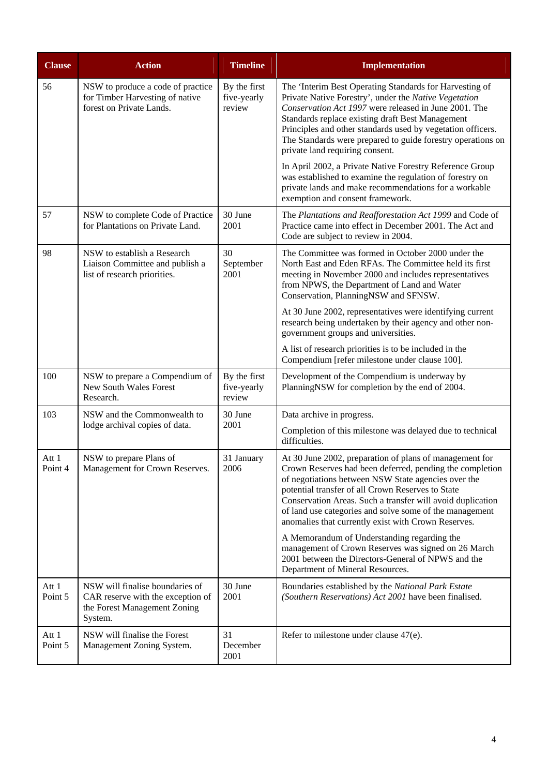| <b>Clause</b>    | <b>Action</b>                                                                                                   | <b>Timeline</b>                       | <b>Implementation</b>                                                                                                                                                                                                                                                                                                                                                                                           |
|------------------|-----------------------------------------------------------------------------------------------------------------|---------------------------------------|-----------------------------------------------------------------------------------------------------------------------------------------------------------------------------------------------------------------------------------------------------------------------------------------------------------------------------------------------------------------------------------------------------------------|
| 56               | NSW to produce a code of practice<br>for Timber Harvesting of native<br>forest on Private Lands.                | By the first<br>five-yearly<br>review | The 'Interim Best Operating Standards for Harvesting of<br>Private Native Forestry', under the Native Vegetation<br>Conservation Act 1997 were released in June 2001. The<br>Standards replace existing draft Best Management<br>Principles and other standards used by vegetation officers.<br>The Standards were prepared to guide forestry operations on<br>private land requiring consent.                  |
|                  |                                                                                                                 |                                       | In April 2002, a Private Native Forestry Reference Group<br>was established to examine the regulation of forestry on<br>private lands and make recommendations for a workable<br>exemption and consent framework.                                                                                                                                                                                               |
| 57               | NSW to complete Code of Practice<br>for Plantations on Private Land.                                            | 30 June<br>2001                       | The Plantations and Reafforestation Act 1999 and Code of<br>Practice came into effect in December 2001. The Act and<br>Code are subject to review in 2004.                                                                                                                                                                                                                                                      |
| 98               | NSW to establish a Research<br>Liaison Committee and publish a<br>list of research priorities.                  | 30<br>September<br>2001               | The Committee was formed in October 2000 under the<br>North East and Eden RFAs. The Committee held its first<br>meeting in November 2000 and includes representatives<br>from NPWS, the Department of Land and Water<br>Conservation, PlanningNSW and SFNSW.                                                                                                                                                    |
|                  |                                                                                                                 |                                       | At 30 June 2002, representatives were identifying current<br>research being undertaken by their agency and other non-<br>government groups and universities.                                                                                                                                                                                                                                                    |
|                  |                                                                                                                 |                                       | A list of research priorities is to be included in the<br>Compendium [refer milestone under clause 100].                                                                                                                                                                                                                                                                                                        |
| 100              | NSW to prepare a Compendium of<br>New South Wales Forest<br>Research.                                           | By the first<br>five-yearly<br>review | Development of the Compendium is underway by<br>PlanningNSW for completion by the end of 2004.                                                                                                                                                                                                                                                                                                                  |
| 103              | NSW and the Commonwealth to                                                                                     | 30 June<br>2001                       | Data archive in progress.                                                                                                                                                                                                                                                                                                                                                                                       |
|                  | lodge archival copies of data.                                                                                  |                                       | Completion of this milestone was delayed due to technical<br>difficulties.                                                                                                                                                                                                                                                                                                                                      |
| Att 1<br>Point 4 | NSW to prepare Plans of<br>Management for Crown Reserves.                                                       | 31 January<br>2006                    | At 30 June 2002, preparation of plans of management for<br>Crown Reserves had been deferred, pending the completion<br>of negotiations between NSW State agencies over the<br>potential transfer of all Crown Reserves to State<br>Conservation Areas. Such a transfer will avoid duplication<br>of land use categories and solve some of the management<br>anomalies that currently exist with Crown Reserves. |
|                  |                                                                                                                 |                                       | A Memorandum of Understanding regarding the<br>management of Crown Reserves was signed on 26 March<br>2001 between the Directors-General of NPWS and the<br>Department of Mineral Resources.                                                                                                                                                                                                                    |
| Att 1<br>Point 5 | NSW will finalise boundaries of<br>CAR reserve with the exception of<br>the Forest Management Zoning<br>System. | 30 June<br>2001                       | Boundaries established by the National Park Estate<br>(Southern Reservations) Act 2001 have been finalised.                                                                                                                                                                                                                                                                                                     |
| Att 1<br>Point 5 | NSW will finalise the Forest<br>Management Zoning System.                                                       | 31<br>December<br>2001                | Refer to milestone under clause $47(e)$ .                                                                                                                                                                                                                                                                                                                                                                       |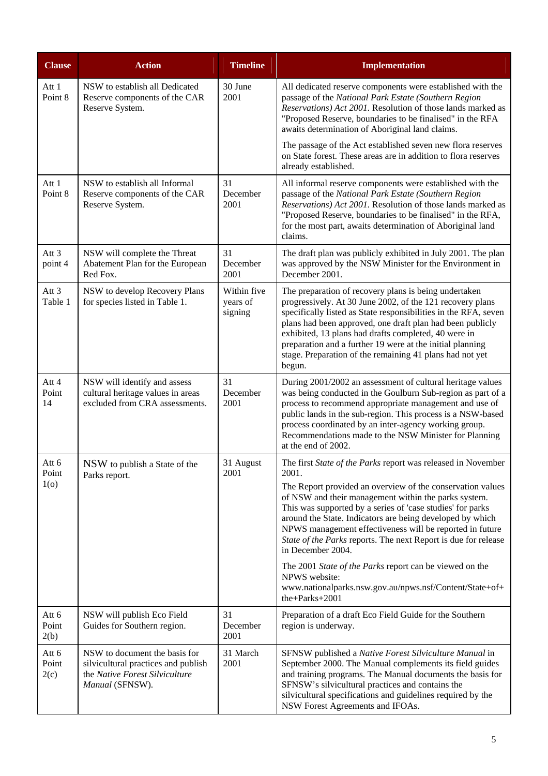| <b>Clause</b>                    | <b>Action</b>                                                                                                             | <b>Timeline</b>                    | <b>Implementation</b>                                                                                                                                                                                                                                                                                                                                                                                                                                                                                                                                                                                                              |
|----------------------------------|---------------------------------------------------------------------------------------------------------------------------|------------------------------------|------------------------------------------------------------------------------------------------------------------------------------------------------------------------------------------------------------------------------------------------------------------------------------------------------------------------------------------------------------------------------------------------------------------------------------------------------------------------------------------------------------------------------------------------------------------------------------------------------------------------------------|
| Att 1<br>Point 8                 | NSW to establish all Dedicated<br>Reserve components of the CAR<br>Reserve System.                                        | 30 June<br>2001                    | All dedicated reserve components were established with the<br>passage of the National Park Estate (Southern Region<br>Reservations) Act 2001. Resolution of those lands marked as<br>"Proposed Reserve, boundaries to be finalised" in the RFA<br>awaits determination of Aboriginal land claims.                                                                                                                                                                                                                                                                                                                                  |
|                                  |                                                                                                                           |                                    | The passage of the Act established seven new flora reserves<br>on State forest. These areas are in addition to flora reserves<br>already established.                                                                                                                                                                                                                                                                                                                                                                                                                                                                              |
| Att 1<br>Point 8                 | NSW to establish all Informal<br>Reserve components of the CAR<br>Reserve System.                                         | 31<br>December<br>2001             | All informal reserve components were established with the<br>passage of the National Park Estate (Southern Region<br>Reservations) Act 2001. Resolution of those lands marked as<br>"Proposed Reserve, boundaries to be finalised" in the RFA,<br>for the most part, awaits determination of Aboriginal land<br>claims.                                                                                                                                                                                                                                                                                                            |
| Att <sub>3</sub><br>point 4      | NSW will complete the Threat<br>Abatement Plan for the European<br>Red Fox.                                               | 31<br>December<br>2001             | The draft plan was publicly exhibited in July 2001. The plan<br>was approved by the NSW Minister for the Environment in<br>December 2001.                                                                                                                                                                                                                                                                                                                                                                                                                                                                                          |
| Att <sub>3</sub><br>Table 1      | NSW to develop Recovery Plans<br>for species listed in Table 1.                                                           | Within five<br>years of<br>signing | The preparation of recovery plans is being undertaken<br>progressively. At 30 June 2002, of the 121 recovery plans<br>specifically listed as State responsibilities in the RFA, seven<br>plans had been approved, one draft plan had been publicly<br>exhibited, 13 plans had drafts completed, 40 were in<br>preparation and a further 19 were at the initial planning<br>stage. Preparation of the remaining 41 plans had not yet<br>begun.                                                                                                                                                                                      |
| Att 4<br>Point<br>14             | NSW will identify and assess<br>cultural heritage values in areas<br>excluded from CRA assessments.                       | 31<br>December<br>2001             | During 2001/2002 an assessment of cultural heritage values<br>was being conducted in the Goulburn Sub-region as part of a<br>process to recommend appropriate management and use of<br>public lands in the sub-region. This process is a NSW-based<br>process coordinated by an inter-agency working group.<br>Recommendations made to the NSW Minister for Planning<br>at the end of 2002.                                                                                                                                                                                                                                        |
| Att 6<br>Point<br>1 <sub>0</sub> | NSW to publish a State of the<br>Parks report.                                                                            | 31 August<br>2001                  | The first State of the Parks report was released in November<br>2001.<br>The Report provided an overview of the conservation values<br>of NSW and their management within the parks system.<br>This was supported by a series of 'case studies' for parks<br>around the State. Indicators are being developed by which<br>NPWS management effectiveness will be reported in future<br>State of the Parks reports. The next Report is due for release<br>in December 2004.<br>The 2001 State of the Parks report can be viewed on the<br>NPWS website:<br>www.nationalparks.nsw.gov.au/npws.nsf/Content/State+of+<br>the+Parks+2001 |
| Att 6<br>Point<br>2(b)           | NSW will publish Eco Field<br>Guides for Southern region.                                                                 | 31<br>December<br>2001             | Preparation of a draft Eco Field Guide for the Southern<br>region is underway.                                                                                                                                                                                                                                                                                                                                                                                                                                                                                                                                                     |
| Att 6<br>Point<br>2(c)           | NSW to document the basis for<br>silvicultural practices and publish<br>the Native Forest Silviculture<br>Manual (SFNSW). | 31 March<br>2001                   | SFNSW published a Native Forest Silviculture Manual in<br>September 2000. The Manual complements its field guides<br>and training programs. The Manual documents the basis for<br>SFNSW's silvicultural practices and contains the<br>silvicultural specifications and guidelines required by the<br>NSW Forest Agreements and IFOAs.                                                                                                                                                                                                                                                                                              |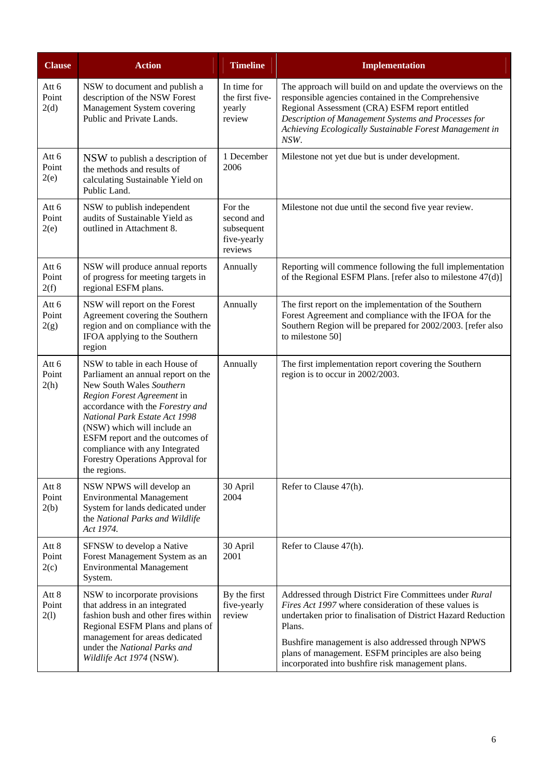| <b>Clause</b>          | <b>Action</b>                                                                                                                                                                                                                                                                                                                                              | <b>Timeline</b>                                               | <b>Implementation</b>                                                                                                                                                                                                                                                                                                                                        |
|------------------------|------------------------------------------------------------------------------------------------------------------------------------------------------------------------------------------------------------------------------------------------------------------------------------------------------------------------------------------------------------|---------------------------------------------------------------|--------------------------------------------------------------------------------------------------------------------------------------------------------------------------------------------------------------------------------------------------------------------------------------------------------------------------------------------------------------|
| Att 6<br>Point<br>2(d) | NSW to document and publish a<br>description of the NSW Forest<br>Management System covering<br>Public and Private Lands.                                                                                                                                                                                                                                  | In time for<br>the first five-<br>yearly<br>review            | The approach will build on and update the overviews on the<br>responsible agencies contained in the Comprehensive<br>Regional Assessment (CRA) ESFM report entitled<br>Description of Management Systems and Processes for<br>Achieving Ecologically Sustainable Forest Management in<br>NSW.                                                                |
| Att 6<br>Point<br>2(e) | NSW to publish a description of<br>the methods and results of<br>calculating Sustainable Yield on<br>Public Land.                                                                                                                                                                                                                                          | 1 December<br>2006                                            | Milestone not yet due but is under development.                                                                                                                                                                                                                                                                                                              |
| Att 6<br>Point<br>2(e) | NSW to publish independent<br>audits of Sustainable Yield as<br>outlined in Attachment 8.                                                                                                                                                                                                                                                                  | For the<br>second and<br>subsequent<br>five-yearly<br>reviews | Milestone not due until the second five year review.                                                                                                                                                                                                                                                                                                         |
| Att 6<br>Point<br>2(f) | NSW will produce annual reports<br>of progress for meeting targets in<br>regional ESFM plans.                                                                                                                                                                                                                                                              | Annually                                                      | Reporting will commence following the full implementation<br>of the Regional ESFM Plans. [refer also to milestone 47(d)]                                                                                                                                                                                                                                     |
| Att 6<br>Point<br>2(g) | NSW will report on the Forest<br>Agreement covering the Southern<br>region and on compliance with the<br>IFOA applying to the Southern<br>region                                                                                                                                                                                                           | Annually                                                      | The first report on the implementation of the Southern<br>Forest Agreement and compliance with the IFOA for the<br>Southern Region will be prepared for 2002/2003. [refer also<br>to milestone 50]                                                                                                                                                           |
| Att 6<br>Point<br>2(h) | NSW to table in each House of<br>Parliament an annual report on the<br>New South Wales Southern<br>Region Forest Agreement in<br>accordance with the Forestry and<br>National Park Estate Act 1998<br>(NSW) which will include an<br>ESFM report and the outcomes of<br>compliance with any Integrated<br>Forestry Operations Approval for<br>the regions. | Annually                                                      | The first implementation report covering the Southern<br>region is to occur in 2002/2003.                                                                                                                                                                                                                                                                    |
| Att 8<br>Point<br>2(b) | NSW NPWS will develop an<br><b>Environmental Management</b><br>System for lands dedicated under<br>the National Parks and Wildlife<br>Act 1974.                                                                                                                                                                                                            | 30 April<br>2004                                              | Refer to Clause 47(h).                                                                                                                                                                                                                                                                                                                                       |
| Att 8<br>Point<br>2(c) | SFNSW to develop a Native<br>Forest Management System as an<br><b>Environmental Management</b><br>System.                                                                                                                                                                                                                                                  | 30 April<br>2001                                              | Refer to Clause 47(h).                                                                                                                                                                                                                                                                                                                                       |
| Att 8<br>Point<br>2(1) | NSW to incorporate provisions<br>that address in an integrated<br>fashion bush and other fires within<br>Regional ESFM Plans and plans of<br>management for areas dedicated<br>under the National Parks and<br>Wildlife Act 1974 (NSW).                                                                                                                    | By the first<br>five-yearly<br>review                         | Addressed through District Fire Committees under Rural<br>Fires Act 1997 where consideration of these values is<br>undertaken prior to finalisation of District Hazard Reduction<br>Plans.<br>Bushfire management is also addressed through NPWS<br>plans of management. ESFM principles are also being<br>incorporated into bushfire risk management plans. |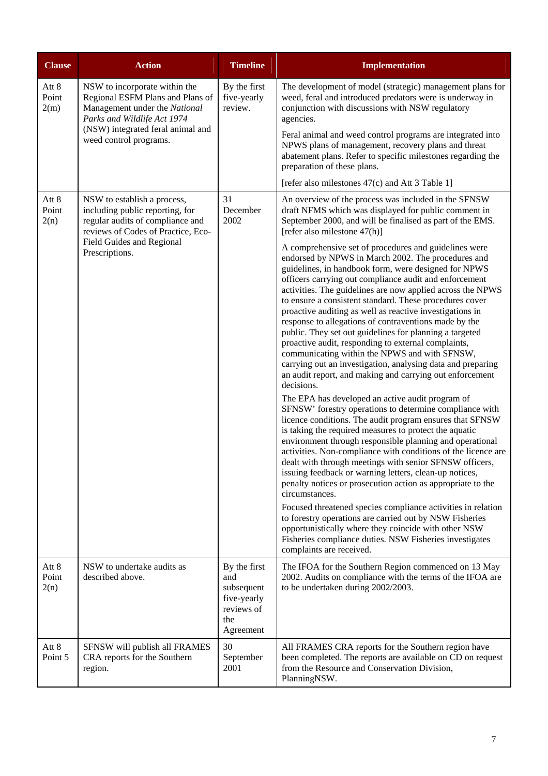| <b>Clause</b>          | <b>Action</b>                                                                                                                                                                                    | <b>Timeline</b>                                                                    | <b>Implementation</b>                                                                                                                                                                                                                                                                                                                                                                                                                                                                                                                                                                                                                                                                                                          |
|------------------------|--------------------------------------------------------------------------------------------------------------------------------------------------------------------------------------------------|------------------------------------------------------------------------------------|--------------------------------------------------------------------------------------------------------------------------------------------------------------------------------------------------------------------------------------------------------------------------------------------------------------------------------------------------------------------------------------------------------------------------------------------------------------------------------------------------------------------------------------------------------------------------------------------------------------------------------------------------------------------------------------------------------------------------------|
| Att 8<br>Point<br>2(m) | NSW to incorporate within the<br>Regional ESFM Plans and Plans of<br>Management under the National<br>Parks and Wildlife Act 1974<br>(NSW) integrated feral animal and<br>weed control programs. | By the first<br>five-yearly<br>review.                                             | The development of model (strategic) management plans for<br>weed, feral and introduced predators were is underway in<br>conjunction with discussions with NSW regulatory<br>agencies.                                                                                                                                                                                                                                                                                                                                                                                                                                                                                                                                         |
|                        |                                                                                                                                                                                                  |                                                                                    | Feral animal and weed control programs are integrated into<br>NPWS plans of management, recovery plans and threat<br>abatement plans. Refer to specific milestones regarding the<br>preparation of these plans.                                                                                                                                                                                                                                                                                                                                                                                                                                                                                                                |
|                        |                                                                                                                                                                                                  |                                                                                    | [refer also milestones 47(c) and Att 3 Table 1]                                                                                                                                                                                                                                                                                                                                                                                                                                                                                                                                                                                                                                                                                |
| Att 8<br>Point<br>2(n) | NSW to establish a process,<br>including public reporting, for<br>regular audits of compliance and<br>reviews of Codes of Practice, Eco-<br>Field Guides and Regional<br>Prescriptions.          | 31<br>December<br>2002                                                             | An overview of the process was included in the SFNSW<br>draft NFMS which was displayed for public comment in<br>September 2000, and will be finalised as part of the EMS.<br>[refer also milestone 47(h)]<br>A comprehensive set of procedures and guidelines were                                                                                                                                                                                                                                                                                                                                                                                                                                                             |
|                        |                                                                                                                                                                                                  |                                                                                    | endorsed by NPWS in March 2002. The procedures and<br>guidelines, in handbook form, were designed for NPWS<br>officers carrying out compliance audit and enforcement<br>activities. The guidelines are now applied across the NPWS<br>to ensure a consistent standard. These procedures cover<br>proactive auditing as well as reactive investigations in<br>response to allegations of contraventions made by the<br>public. They set out guidelines for planning a targeted<br>proactive audit, responding to external complaints,<br>communicating within the NPWS and with SFNSW,<br>carrying out an investigation, analysing data and preparing<br>an audit report, and making and carrying out enforcement<br>decisions. |
|                        |                                                                                                                                                                                                  |                                                                                    | The EPA has developed an active audit program of<br>SFNSW' forestry operations to determine compliance with<br>licence conditions. The audit program ensures that SFNSW<br>is taking the required measures to protect the aquatic<br>environment through responsible planning and operational<br>activities. Non-compliance with conditions of the licence are<br>dealt with through meetings with senior SFNSW officers,<br>issuing feedback or warning letters, clean-up notices,<br>penalty notices or prosecution action as appropriate to the<br>circumstances.                                                                                                                                                           |
|                        |                                                                                                                                                                                                  |                                                                                    | Focused threatened species compliance activities in relation<br>to forestry operations are carried out by NSW Fisheries<br>opportunistically where they coincide with other NSW<br>Fisheries compliance duties. NSW Fisheries investigates<br>complaints are received.                                                                                                                                                                                                                                                                                                                                                                                                                                                         |
| Att 8<br>Point<br>2(n) | NSW to undertake audits as<br>described above.                                                                                                                                                   | By the first<br>and<br>subsequent<br>five-yearly<br>reviews of<br>the<br>Agreement | The IFOA for the Southern Region commenced on 13 May<br>2002. Audits on compliance with the terms of the IFOA are<br>to be undertaken during 2002/2003.                                                                                                                                                                                                                                                                                                                                                                                                                                                                                                                                                                        |
| Att 8<br>Point 5       | SFNSW will publish all FRAMES<br>CRA reports for the Southern<br>region.                                                                                                                         | 30<br>September<br>2001                                                            | All FRAMES CRA reports for the Southern region have<br>been completed. The reports are available on CD on request<br>from the Resource and Conservation Division,<br>PlanningNSW.                                                                                                                                                                                                                                                                                                                                                                                                                                                                                                                                              |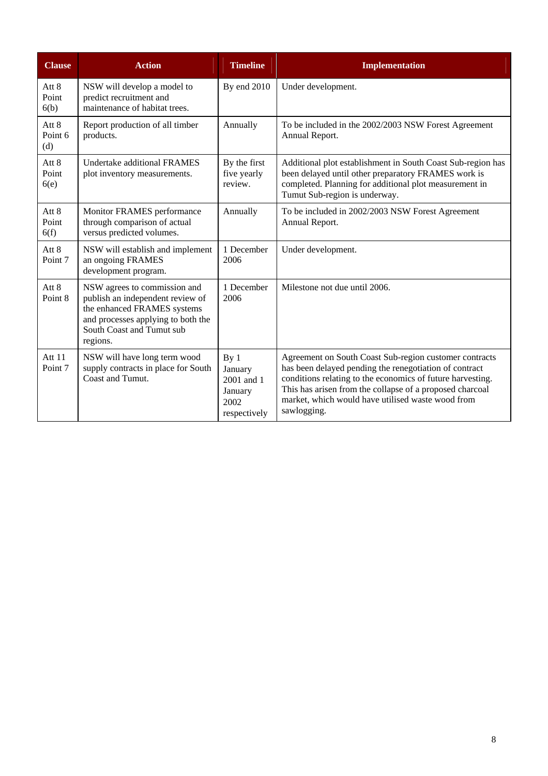| <b>Clause</b>           | <b>Action</b>                                                                                                                                                                  | <b>Timeline</b>                                                             | <b>Implementation</b>                                                                                                                                                                                                                                                                                          |
|-------------------------|--------------------------------------------------------------------------------------------------------------------------------------------------------------------------------|-----------------------------------------------------------------------------|----------------------------------------------------------------------------------------------------------------------------------------------------------------------------------------------------------------------------------------------------------------------------------------------------------------|
| Att 8<br>Point<br>6(b)  | NSW will develop a model to<br>predict recruitment and<br>maintenance of habitat trees.                                                                                        | By end 2010                                                                 | Under development.                                                                                                                                                                                                                                                                                             |
| Att 8<br>Point 6<br>(d) | Report production of all timber<br>products.                                                                                                                                   | Annually                                                                    | To be included in the 2002/2003 NSW Forest Agreement<br>Annual Report.                                                                                                                                                                                                                                         |
| Att 8<br>Point<br>6(e)  | <b>Undertake additional FRAMES</b><br>plot inventory measurements.                                                                                                             | By the first<br>five yearly<br>review.                                      | Additional plot establishment in South Coast Sub-region has<br>been delayed until other preparatory FRAMES work is<br>completed. Planning for additional plot measurement in<br>Tumut Sub-region is underway.                                                                                                  |
| Att 8<br>Point<br>6(f)  | Monitor FRAMES performance<br>through comparison of actual<br>versus predicted volumes.                                                                                        | Annually                                                                    | To be included in 2002/2003 NSW Forest Agreement<br>Annual Report.                                                                                                                                                                                                                                             |
| Att 8<br>Point 7        | NSW will establish and implement<br>an ongoing FRAMES<br>development program.                                                                                                  | 1 December<br>2006                                                          | Under development.                                                                                                                                                                                                                                                                                             |
| Att 8<br>Point 8        | NSW agrees to commission and<br>publish an independent review of<br>the enhanced FRAMES systems<br>and processes applying to both the<br>South Coast and Tumut sub<br>regions. | 1 December<br>2006                                                          | Milestone not due until 2006.                                                                                                                                                                                                                                                                                  |
| Att 11<br>Point 7       | NSW will have long term wood<br>supply contracts in place for South<br>Coast and Tumut.                                                                                        | By <sub>1</sub><br>January<br>2001 and 1<br>January<br>2002<br>respectively | Agreement on South Coast Sub-region customer contracts<br>has been delayed pending the renegotiation of contract<br>conditions relating to the economics of future harvesting.<br>This has arisen from the collapse of a proposed charcoal<br>market, which would have utilised waste wood from<br>sawlogging. |